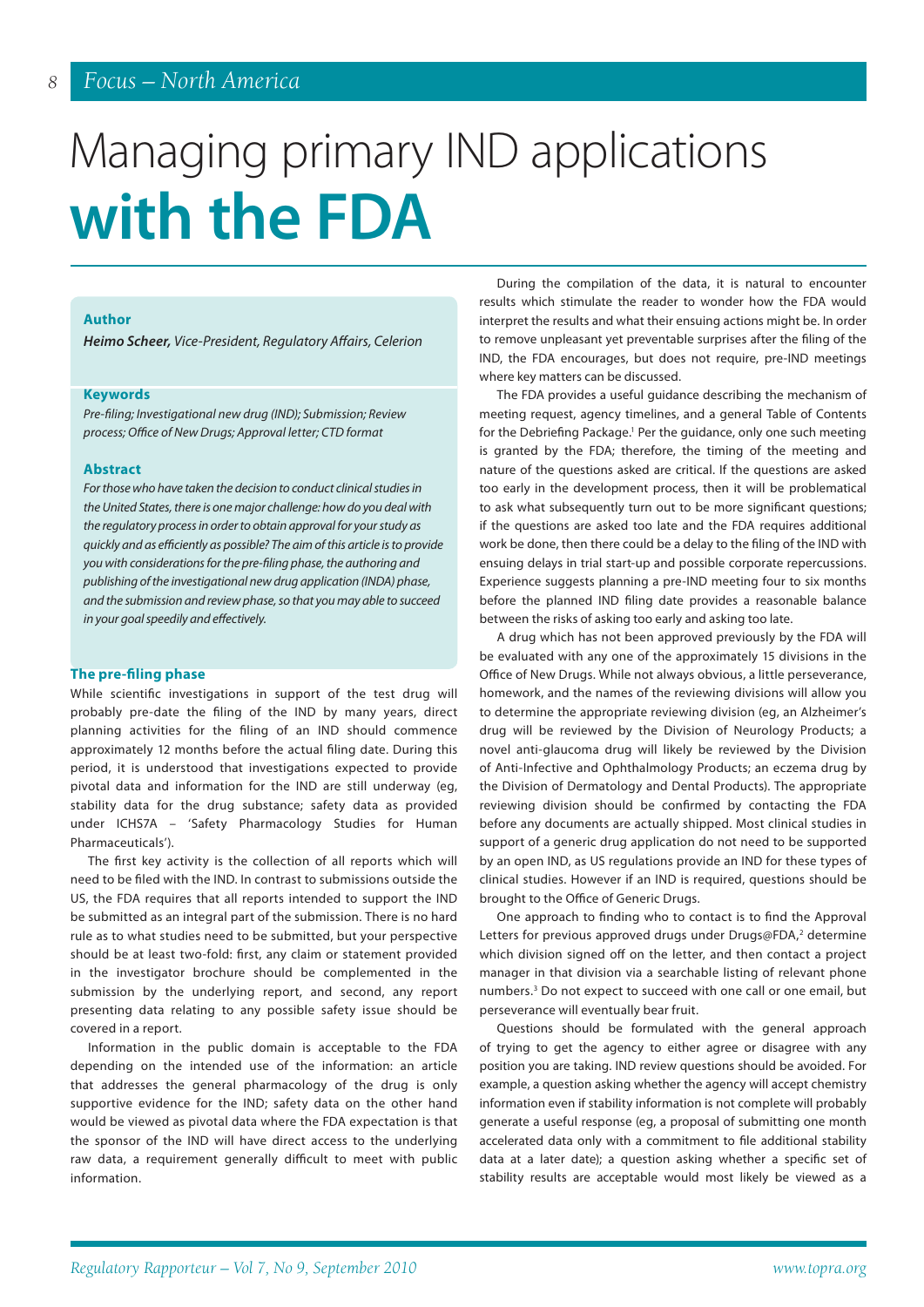# *8 Focus – North America*

# Managing primary IND applications **with the FDA**

# **Author**

*Heimo Scheer, Vice-President, Regulatory Affairs, Celerion*

#### **Keywords**

*Pre-filing; Investigational new drug (IND); Submission; Review process; Office of New Drugs; Approval letter; CTD format*

## **Abstract**

*For those who have taken the decision to conduct clinical studies in the United States, there is one major challenge: how do you deal with the regulatory process in order to obtain approval for your study as quickly and as efficiently as possible? The aim of this article is to provide you with considerations for the pre-filing phase, the authoring and publishing of the investigational new drug application (INDA) phase, and the submission and review phase, so that you may able to succeed in your goal speedily and effectively.* 

# **The pre-filing phase**

While scientific investigations in support of the test drug will probably pre-date the filing of the IND by many years, direct planning activities for the filing of an IND should commence approximately 12 months before the actual filing date. During this period, it is understood that investigations expected to provide pivotal data and information for the IND are still underway (eg, stability data for the drug substance; safety data as provided under ICHS7A – 'Safety Pharmacology Studies for Human Pharmaceuticals').

The first key activity is the collection of all reports which will need to be filed with the IND. In contrast to submissions outside the US, the FDA requires that all reports intended to support the IND be submitted as an integral part of the submission. There is no hard rule as to what studies need to be submitted, but your perspective should be at least two-fold: first, any claim or statement provided in the investigator brochure should be complemented in the submission by the underlying report, and second, any report presenting data relating to any possible safety issue should be covered in a report.

Information in the public domain is acceptable to the FDA depending on the intended use of the information: an article that addresses the general pharmacology of the drug is only supportive evidence for the IND; safety data on the other hand would be viewed as pivotal data where the FDA expectation is that the sponsor of the IND will have direct access to the underlying raw data, a requirement generally difficult to meet with public information.

During the compilation of the data, it is natural to encounter results which stimulate the reader to wonder how the FDA would interpret the results and what their ensuing actions might be. In order to remove unpleasant yet preventable surprises after the filing of the IND, the FDA encourages, but does not require, pre-IND meetings where key matters can be discussed.

The FDA provides a useful guidance describing the mechanism of meeting request, agency timelines, and a general Table of Contents for the Debriefing Package.<sup>1</sup> Per the guidance, only one such meeting is granted by the FDA; therefore, the timing of the meeting and nature of the questions asked are critical. If the questions are asked too early in the development process, then it will be problematical to ask what subsequently turn out to be more significant questions; if the questions are asked too late and the FDA requires additional work be done, then there could be a delay to the filing of the IND with ensuing delays in trial start-up and possible corporate repercussions. Experience suggests planning a pre-IND meeting four to six months before the planned IND filing date provides a reasonable balance between the risks of asking too early and asking too late.

A drug which has not been approved previously by the FDA will be evaluated with any one of the approximately 15 divisions in the Office of New Drugs. While not always obvious, a little perseverance, homework, and the names of the reviewing divisions will allow you to determine the appropriate reviewing division (eg, an Alzheimer's drug will be reviewed by the Division of Neurology Products; a novel anti-glaucoma drug will likely be reviewed by the Division of Anti-Infective and Ophthalmology Products; an eczema drug by the Division of Dermatology and Dental Products). The appropriate reviewing division should be confirmed by contacting the FDA before any documents are actually shipped. Most clinical studies in support of a generic drug application do not need to be supported by an open IND, as US regulations provide an IND for these types of clinical studies. However if an IND is required, questions should be brought to the Office of Generic Drugs.

One approach to finding who to contact is to find the Approval Letters for previous approved drugs under Drugs@FDA,<sup>2</sup> determine which division signed off on the letter, and then contact a project manager in that division via a searchable listing of relevant phone numbers.3 Do not expect to succeed with one call or one email, but perseverance will eventually bear fruit.

Questions should be formulated with the general approach of trying to get the agency to either agree or disagree with any position you are taking. IND review questions should be avoided. For example, a question asking whether the agency will accept chemistry information even if stability information is not complete will probably generate a useful response (eg, a proposal of submitting one month accelerated data only with a commitment to file additional stability data at a later date); a question asking whether a specific set of stability results are acceptable would most likely be viewed as a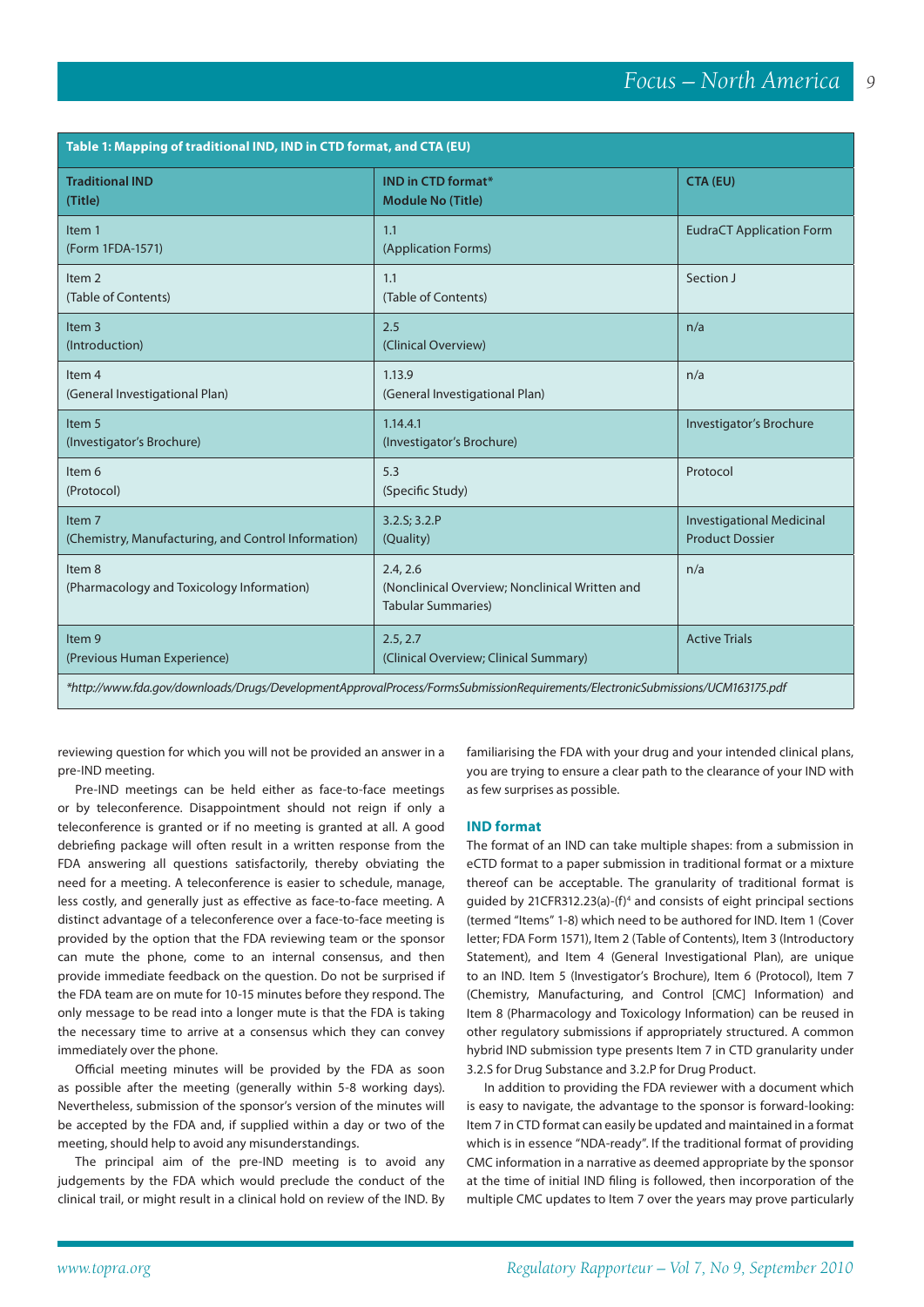*9*

| Table 1: Mapping of traditional IND, IND in CTD format, and CTA (EU)                                                           |                                                                                         |                                                            |
|--------------------------------------------------------------------------------------------------------------------------------|-----------------------------------------------------------------------------------------|------------------------------------------------------------|
| <b>Traditional IND</b><br>(Title)                                                                                              | <b>IND in CTD format*</b><br><b>Module No (Title)</b>                                   | CTA (EU)                                                   |
| Item 1<br>(Form 1FDA-1571)                                                                                                     | 1.1<br>(Application Forms)                                                              | <b>EudraCT Application Form</b>                            |
| Item <sub>2</sub><br>(Table of Contents)                                                                                       | 1.1<br>(Table of Contents)                                                              | Section J                                                  |
| Item <sub>3</sub><br>(Introduction)                                                                                            | 2.5<br>(Clinical Overview)                                                              | n/a                                                        |
| Item <sub>4</sub><br>(General Investigational Plan)                                                                            | 1.13.9<br>(General Investigational Plan)                                                | n/a                                                        |
| Item 5<br>(Investigator's Brochure)                                                                                            | 1.14.4.1<br>(Investigator's Brochure)                                                   | Investigator's Brochure                                    |
| Item 6<br>(Protocol)                                                                                                           | 5.3<br>(Specific Study)                                                                 | Protocol                                                   |
| Item <sub>7</sub><br>(Chemistry, Manufacturing, and Control Information)                                                       | 3.2.S; 3.2.P<br>(Quality)                                                               | <b>Investigational Medicinal</b><br><b>Product Dossier</b> |
| Item 8<br>(Pharmacology and Toxicology Information)                                                                            | 2.4, 2.6<br>(Nonclinical Overview; Nonclinical Written and<br><b>Tabular Summaries)</b> | n/a                                                        |
| Item 9<br>(Previous Human Experience)                                                                                          | 2.5, 2.7<br>(Clinical Overview; Clinical Summary)                                       | <b>Active Trials</b>                                       |
| *http://www.fda.gov/downloads/Drugs/DevelopmentApprovalProcess/FormsSubmissionRequirements/ElectronicSubmissions/UCM163175.pdf |                                                                                         |                                                            |

reviewing question for which you will not be provided an answer in a pre-IND meeting.

Pre-IND meetings can be held either as face-to-face meetings or by teleconference. Disappointment should not reign if only a teleconference is granted or if no meeting is granted at all. A good debriefing package will often result in a written response from the FDA answering all questions satisfactorily, thereby obviating the need for a meeting. A teleconference is easier to schedule, manage, less costly, and generally just as effective as face-to-face meeting. A distinct advantage of a teleconference over a face-to-face meeting is provided by the option that the FDA reviewing team or the sponsor can mute the phone, come to an internal consensus, and then provide immediate feedback on the question. Do not be surprised if the FDA team are on mute for 10-15 minutes before they respond. The only message to be read into a longer mute is that the FDA is taking the necessary time to arrive at a consensus which they can convey immediately over the phone.

Official meeting minutes will be provided by the FDA as soon as possible after the meeting (generally within 5-8 working days). Nevertheless, submission of the sponsor's version of the minutes will be accepted by the FDA and, if supplied within a day or two of the meeting, should help to avoid any misunderstandings.

The principal aim of the pre-IND meeting is to avoid any judgements by the FDA which would preclude the conduct of the clinical trail, or might result in a clinical hold on review of the IND. By

familiarising the FDA with your drug and your intended clinical plans, you are trying to ensure a clear path to the clearance of your IND with as few surprises as possible.

#### **IND format**

The format of an IND can take multiple shapes: from a submission in eCTD format to a paper submission in traditional format or a mixture thereof can be acceptable. The granularity of traditional format is guided by 21CFR312.23(a)-(f)4 and consists of eight principal sections (termed "Items" 1-8) which need to be authored for IND. Item 1 (Cover letter; FDA Form 1571), Item 2 (Table of Contents), Item 3 (Introductory Statement), and Item 4 (General Investigational Plan), are unique to an IND. Item 5 (Investigator's Brochure), Item 6 (Protocol), Item 7 (Chemistry, Manufacturing, and Control [CMC] Information) and Item 8 (Pharmacology and Toxicology Information) can be reused in other regulatory submissions if appropriately structured. A common hybrid IND submission type presents Item 7 in CTD granularity under 3.2.S for Drug Substance and 3.2.P for Drug Product.

In addition to providing the FDA reviewer with a document which is easy to navigate, the advantage to the sponsor is forward-looking: Item 7 in CTD format can easily be updated and maintained in a format which is in essence "NDA-ready". If the traditional format of providing CMC information in a narrative as deemed appropriate by the sponsor at the time of initial IND filing is followed, then incorporation of the multiple CMC updates to Item 7 over the years may prove particularly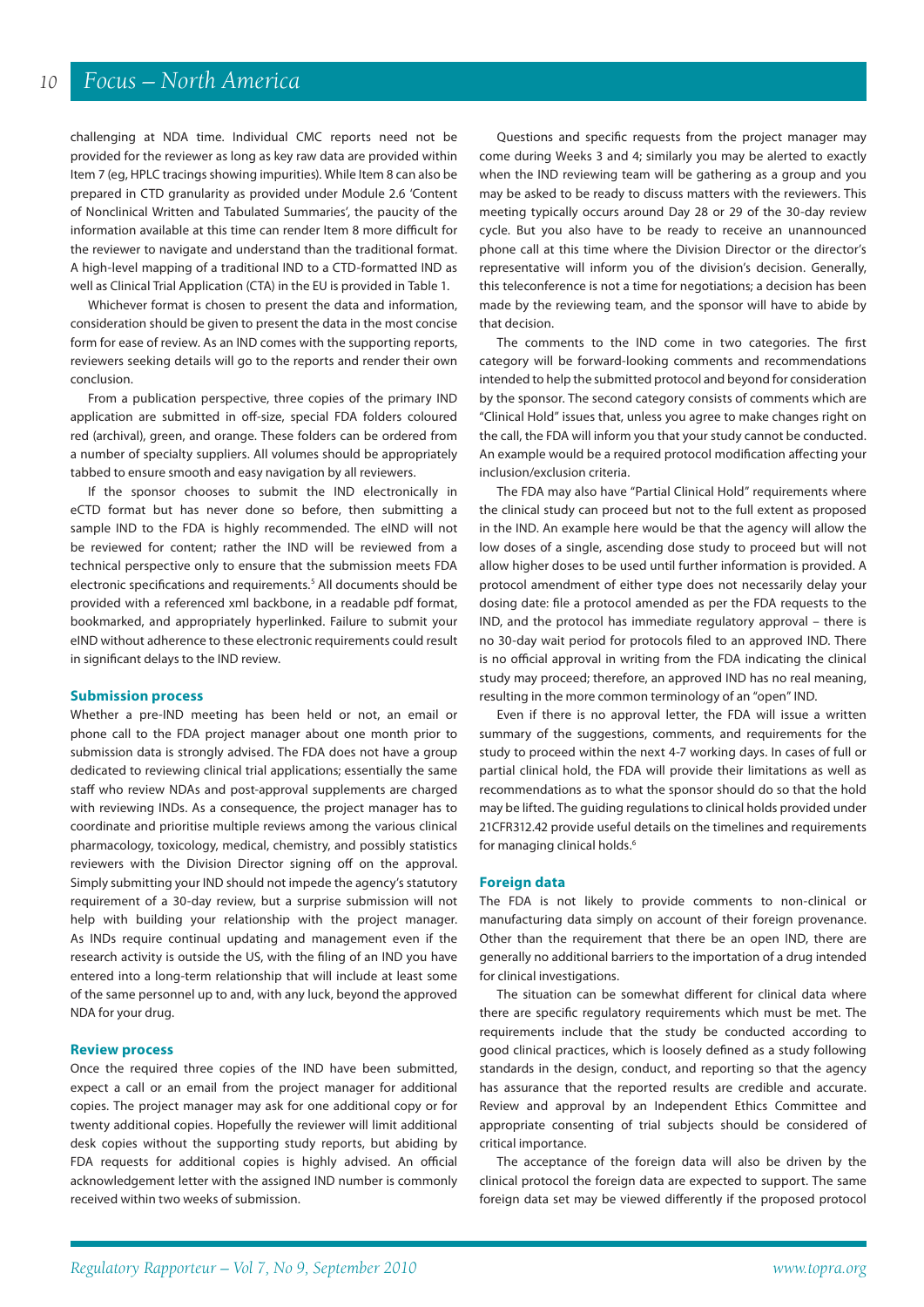challenging at NDA time. Individual CMC reports need not be provided for the reviewer as long as key raw data are provided within Item 7 (eg, HPLC tracings showing impurities). While Item 8 can also be prepared in CTD granularity as provided under Module 2.6 'Content of Nonclinical Written and Tabulated Summaries', the paucity of the information available at this time can render Item 8 more difficult for the reviewer to navigate and understand than the traditional format. A high-level mapping of a traditional IND to a CTD-formatted IND as well as Clinical Trial Application (CTA) in the EU is provided in Table 1.

Whichever format is chosen to present the data and information, consideration should be given to present the data in the most concise form for ease of review. As an IND comes with the supporting reports, reviewers seeking details will go to the reports and render their own conclusion.

From a publication perspective, three copies of the primary IND application are submitted in off-size, special FDA folders coloured red (archival), green, and orange. These folders can be ordered from a number of specialty suppliers. All volumes should be appropriately tabbed to ensure smooth and easy navigation by all reviewers.

If the sponsor chooses to submit the IND electronically in eCTD format but has never done so before, then submitting a sample IND to the FDA is highly recommended. The eIND will not be reviewed for content; rather the IND will be reviewed from a technical perspective only to ensure that the submission meets FDA electronic specifications and requirements.<sup>5</sup> All documents should be provided with a referenced xml backbone, in a readable pdf format, bookmarked, and appropriately hyperlinked. Failure to submit your eIND without adherence to these electronic requirements could result in significant delays to the IND review.

#### **Submission process**

Whether a pre-IND meeting has been held or not, an email or phone call to the FDA project manager about one month prior to submission data is strongly advised. The FDA does not have a group dedicated to reviewing clinical trial applications; essentially the same staff who review NDAs and post-approval supplements are charged with reviewing INDs. As a consequence, the project manager has to coordinate and prioritise multiple reviews among the various clinical pharmacology, toxicology, medical, chemistry, and possibly statistics reviewers with the Division Director signing off on the approval. Simply submitting your IND should not impede the agency's statutory requirement of a 30-day review, but a surprise submission will not help with building your relationship with the project manager. As INDs require continual updating and management even if the research activity is outside the US, with the filing of an IND you have entered into a long-term relationship that will include at least some of the same personnel up to and, with any luck, beyond the approved NDA for your drug.

#### **Review process**

Once the required three copies of the IND have been submitted, expect a call or an email from the project manager for additional copies. The project manager may ask for one additional copy or for twenty additional copies. Hopefully the reviewer will limit additional desk copies without the supporting study reports, but abiding by FDA requests for additional copies is highly advised. An official acknowledgement letter with the assigned IND number is commonly received within two weeks of submission.

Questions and specific requests from the project manager may come during Weeks 3 and 4; similarly you may be alerted to exactly when the IND reviewing team will be gathering as a group and you may be asked to be ready to discuss matters with the reviewers. This meeting typically occurs around Day 28 or 29 of the 30-day review cycle. But you also have to be ready to receive an unannounced phone call at this time where the Division Director or the director's representative will inform you of the division's decision. Generally, this teleconference is not a time for negotiations; a decision has been made by the reviewing team, and the sponsor will have to abide by that decision.

The comments to the IND come in two categories. The first category will be forward-looking comments and recommendations intended to help the submitted protocol and beyond for consideration by the sponsor. The second category consists of comments which are "Clinical Hold" issues that, unless you agree to make changes right on the call, the FDA will inform you that your study cannot be conducted. An example would be a required protocol modification affecting your inclusion/exclusion criteria.

The FDA may also have "Partial Clinical Hold" requirements where the clinical study can proceed but not to the full extent as proposed in the IND. An example here would be that the agency will allow the low doses of a single, ascending dose study to proceed but will not allow higher doses to be used until further information is provided. A protocol amendment of either type does not necessarily delay your dosing date: file a protocol amended as per the FDA requests to the IND, and the protocol has immediate regulatory approval – there is no 30-day wait period for protocols filed to an approved IND. There is no official approval in writing from the FDA indicating the clinical study may proceed; therefore, an approved IND has no real meaning, resulting in the more common terminology of an "open" IND.

Even if there is no approval letter, the FDA will issue a written summary of the suggestions, comments, and requirements for the study to proceed within the next 4-7 working days. In cases of full or partial clinical hold, the FDA will provide their limitations as well as recommendations as to what the sponsor should do so that the hold may be lifted. The guiding regulations to clinical holds provided under 21CFR312.42 provide useful details on the timelines and requirements for managing clinical holds.6

#### **Foreign data**

The FDA is not likely to provide comments to non-clinical or manufacturing data simply on account of their foreign provenance. Other than the requirement that there be an open IND, there are generally no additional barriers to the importation of a drug intended for clinical investigations.

The situation can be somewhat different for clinical data where there are specific regulatory requirements which must be met. The requirements include that the study be conducted according to good clinical practices, which is loosely defined as a study following standards in the design, conduct, and reporting so that the agency has assurance that the reported results are credible and accurate. Review and approval by an Independent Ethics Committee and appropriate consenting of trial subjects should be considered of critical importance.

The acceptance of the foreign data will also be driven by the clinical protocol the foreign data are expected to support. The same foreign data set may be viewed differently if the proposed protocol